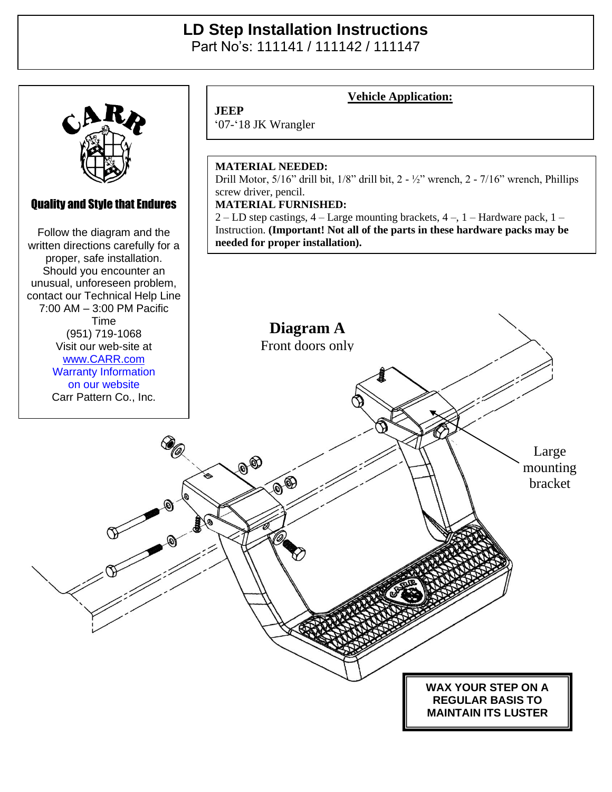## **LD Step Installation Instructions**  Part No's: 111141 / 111142 / 111147